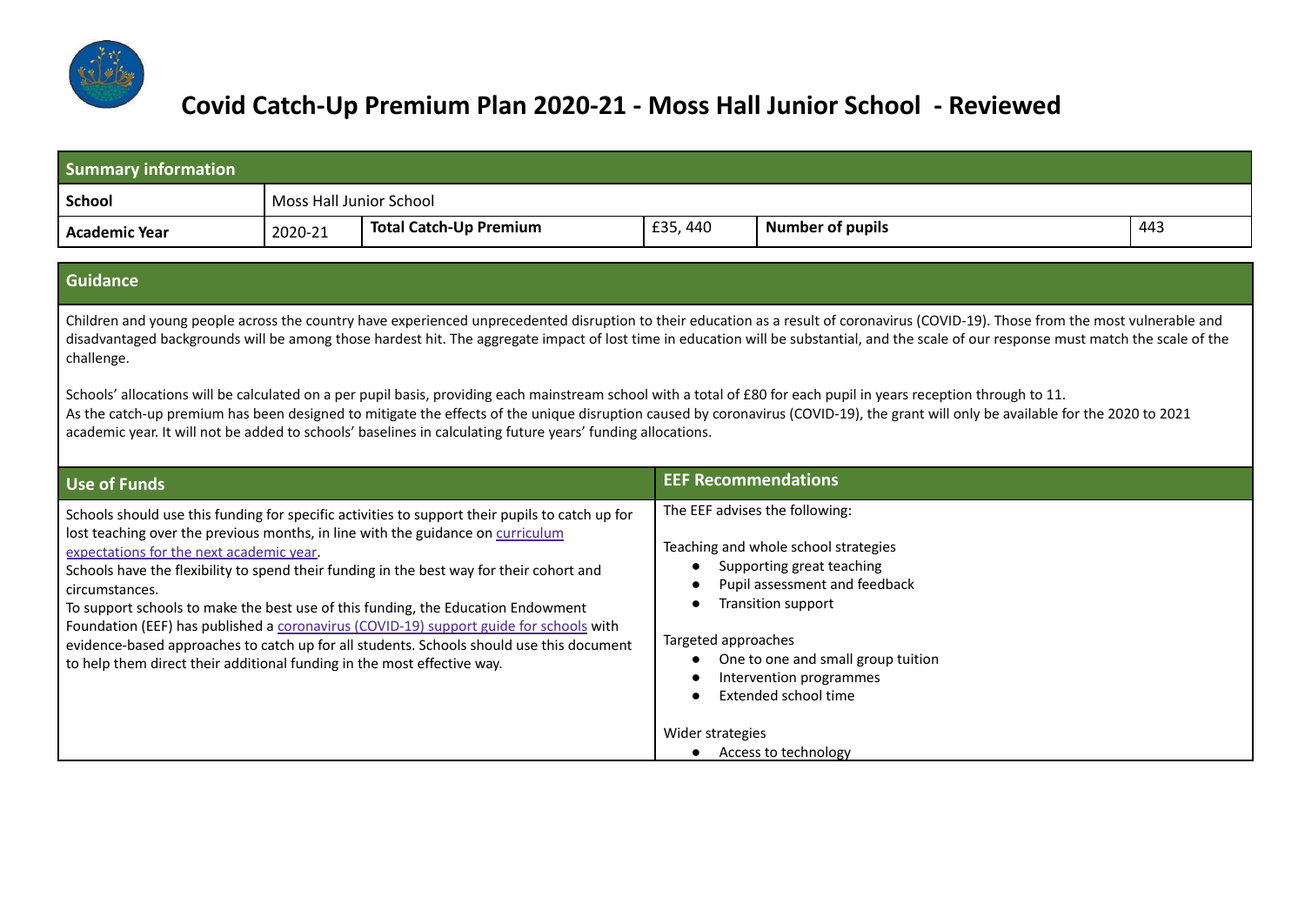

## **Covid Catch-Up Premium Plan 2020-21 - Moss Hall Junior School - Reviewed**

| <b>Summary information</b>                                                                                                                                                                                                                                                                                                                                                                                                                                                                                                                                                                                                                                                                                                                                                                                                                                                |                         |                                                                                                                                                                                                                                                                                                                                                                                                                                                                                                                                                          |                            |                                                                                                                                                                                                                                                     |     |  |  |
|---------------------------------------------------------------------------------------------------------------------------------------------------------------------------------------------------------------------------------------------------------------------------------------------------------------------------------------------------------------------------------------------------------------------------------------------------------------------------------------------------------------------------------------------------------------------------------------------------------------------------------------------------------------------------------------------------------------------------------------------------------------------------------------------------------------------------------------------------------------------------|-------------------------|----------------------------------------------------------------------------------------------------------------------------------------------------------------------------------------------------------------------------------------------------------------------------------------------------------------------------------------------------------------------------------------------------------------------------------------------------------------------------------------------------------------------------------------------------------|----------------------------|-----------------------------------------------------------------------------------------------------------------------------------------------------------------------------------------------------------------------------------------------------|-----|--|--|
| <b>School</b>                                                                                                                                                                                                                                                                                                                                                                                                                                                                                                                                                                                                                                                                                                                                                                                                                                                             | Moss Hall Junior School |                                                                                                                                                                                                                                                                                                                                                                                                                                                                                                                                                          |                            |                                                                                                                                                                                                                                                     |     |  |  |
| <b>Academic Year</b>                                                                                                                                                                                                                                                                                                                                                                                                                                                                                                                                                                                                                                                                                                                                                                                                                                                      | 2020-21                 | <b>Total Catch-Up Premium</b>                                                                                                                                                                                                                                                                                                                                                                                                                                                                                                                            | £35,440                    | <b>Number of pupils</b>                                                                                                                                                                                                                             | 443 |  |  |
|                                                                                                                                                                                                                                                                                                                                                                                                                                                                                                                                                                                                                                                                                                                                                                                                                                                                           |                         |                                                                                                                                                                                                                                                                                                                                                                                                                                                                                                                                                          |                            |                                                                                                                                                                                                                                                     |     |  |  |
| <b>Guidance</b>                                                                                                                                                                                                                                                                                                                                                                                                                                                                                                                                                                                                                                                                                                                                                                                                                                                           |                         |                                                                                                                                                                                                                                                                                                                                                                                                                                                                                                                                                          |                            |                                                                                                                                                                                                                                                     |     |  |  |
| Children and young people across the country have experienced unprecedented disruption to their education as a result of coronavirus (COVID-19). Those from the most vulnerable and<br>disadvantaged backgrounds will be among those hardest hit. The aggregate impact of lost time in education will be substantial, and the scale of our response must match the scale of the<br>challenge.<br>Schools' allocations will be calculated on a per pupil basis, providing each mainstream school with a total of £80 for each pupil in years reception through to 11.<br>As the catch-up premium has been designed to mitigate the effects of the unique disruption caused by coronavirus (COVID-19), the grant will only be available for the 2020 to 2021<br>academic year. It will not be added to schools' baselines in calculating future years' funding allocations. |                         |                                                                                                                                                                                                                                                                                                                                                                                                                                                                                                                                                          |                            |                                                                                                                                                                                                                                                     |     |  |  |
| <b>Use of Funds</b>                                                                                                                                                                                                                                                                                                                                                                                                                                                                                                                                                                                                                                                                                                                                                                                                                                                       |                         |                                                                                                                                                                                                                                                                                                                                                                                                                                                                                                                                                          | <b>EEF Recommendations</b> |                                                                                                                                                                                                                                                     |     |  |  |
| expectations for the next academic year.<br>circumstances.<br>to help them direct their additional funding in the most effective way.                                                                                                                                                                                                                                                                                                                                                                                                                                                                                                                                                                                                                                                                                                                                     |                         | Schools should use this funding for specific activities to support their pupils to catch up for<br>lost teaching over the previous months, in line with the guidance on curriculum<br>Schools have the flexibility to spend their funding in the best way for their cohort and<br>To support schools to make the best use of this funding, the Education Endowment<br>Foundation (EEF) has published a coronavirus (COVID-19) support guide for schools with<br>evidence-based approaches to catch up for all students. Schools should use this document | Targeted approaches        | The EEF advises the following:<br>Teaching and whole school strategies<br>Supporting great teaching<br>Pupil assessment and feedback<br>Transition support<br>One to one and small group tuition<br>Intervention programmes<br>Extended school time |     |  |  |
| Wider strategies<br>Access to technology<br>$\bullet$                                                                                                                                                                                                                                                                                                                                                                                                                                                                                                                                                                                                                                                                                                                                                                                                                     |                         |                                                                                                                                                                                                                                                                                                                                                                                                                                                                                                                                                          |                            |                                                                                                                                                                                                                                                     |     |  |  |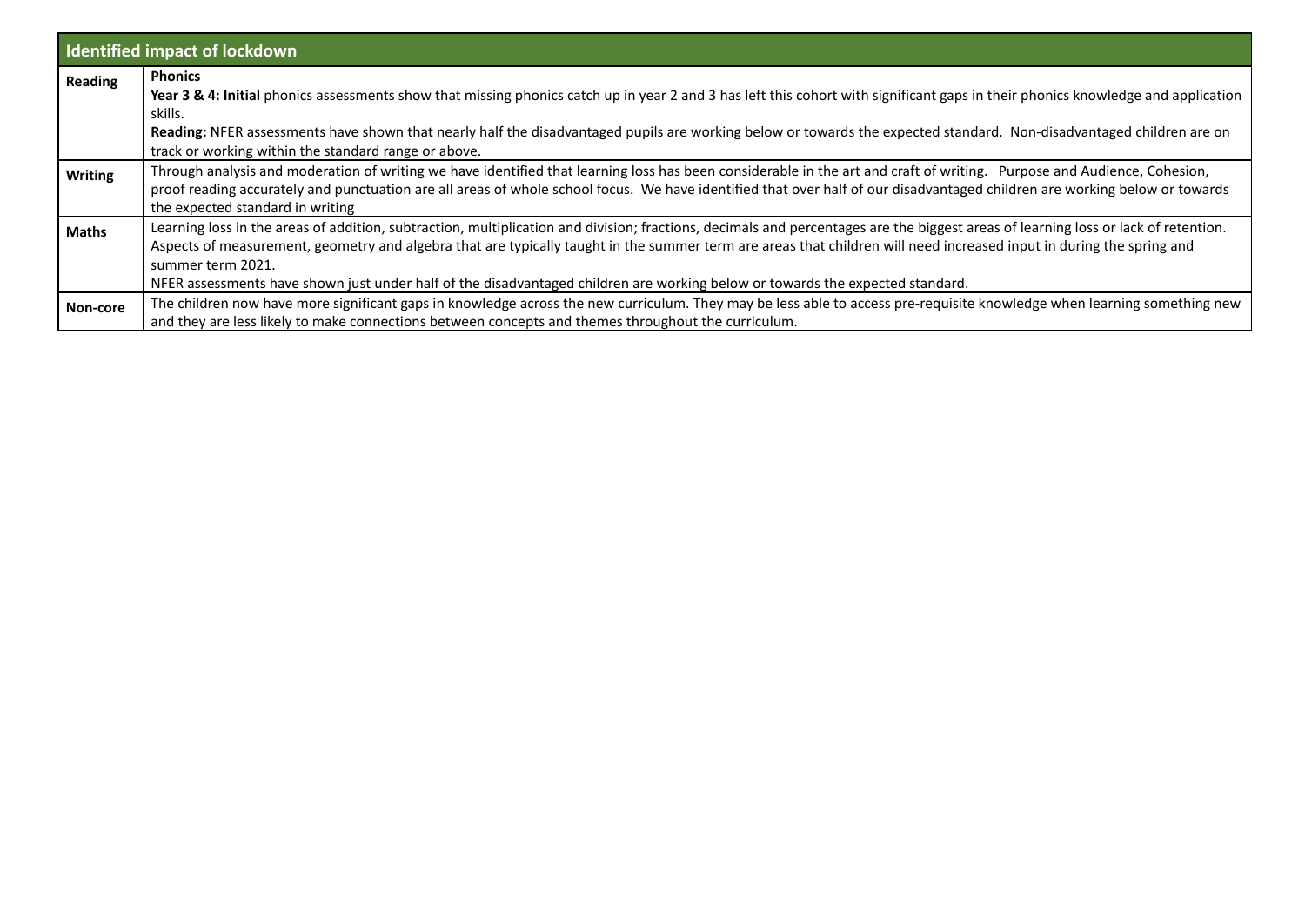|                | <b>Identified impact of lockdown</b>                                                                                                                                                                                                                                                                                                                                                                                                                                                                             |
|----------------|------------------------------------------------------------------------------------------------------------------------------------------------------------------------------------------------------------------------------------------------------------------------------------------------------------------------------------------------------------------------------------------------------------------------------------------------------------------------------------------------------------------|
| <b>Reading</b> | <b>Phonics</b><br>Year 3 & 4: Initial phonics assessments show that missing phonics catch up in year 2 and 3 has left this cohort with significant gaps in their phonics knowledge and application<br>skills.<br>Reading: NFER assessments have shown that nearly half the disadvantaged pupils are working below or towards the expected standard. Non-disadvantaged children are on<br>track or working within the standard range or above.                                                                    |
| <b>Writing</b> | Through analysis and moderation of writing we have identified that learning loss has been considerable in the art and craft of writing. Purpose and Audience, Cohesion,<br>proof reading accurately and punctuation are all areas of whole school focus. We have identified that over half of our disadvantaged children are working below or towards<br>the expected standard in writing                                                                                                                        |
| <b>Maths</b>   | Learning loss in the areas of addition, subtraction, multiplication and division; fractions, decimals and percentages are the biggest areas of learning loss or lack of retention.<br>Aspects of measurement, geometry and algebra that are typically taught in the summer term are areas that children will need increased input in during the spring and<br>summer term 2021.<br>NFER assessments have shown just under half of the disadvantaged children are working below or towards the expected standard. |
| Non-core       | The children now have more significant gaps in knowledge across the new curriculum. They may be less able to access pre-requisite knowledge when learning something new<br>and they are less likely to make connections between concepts and themes throughout the curriculum.                                                                                                                                                                                                                                   |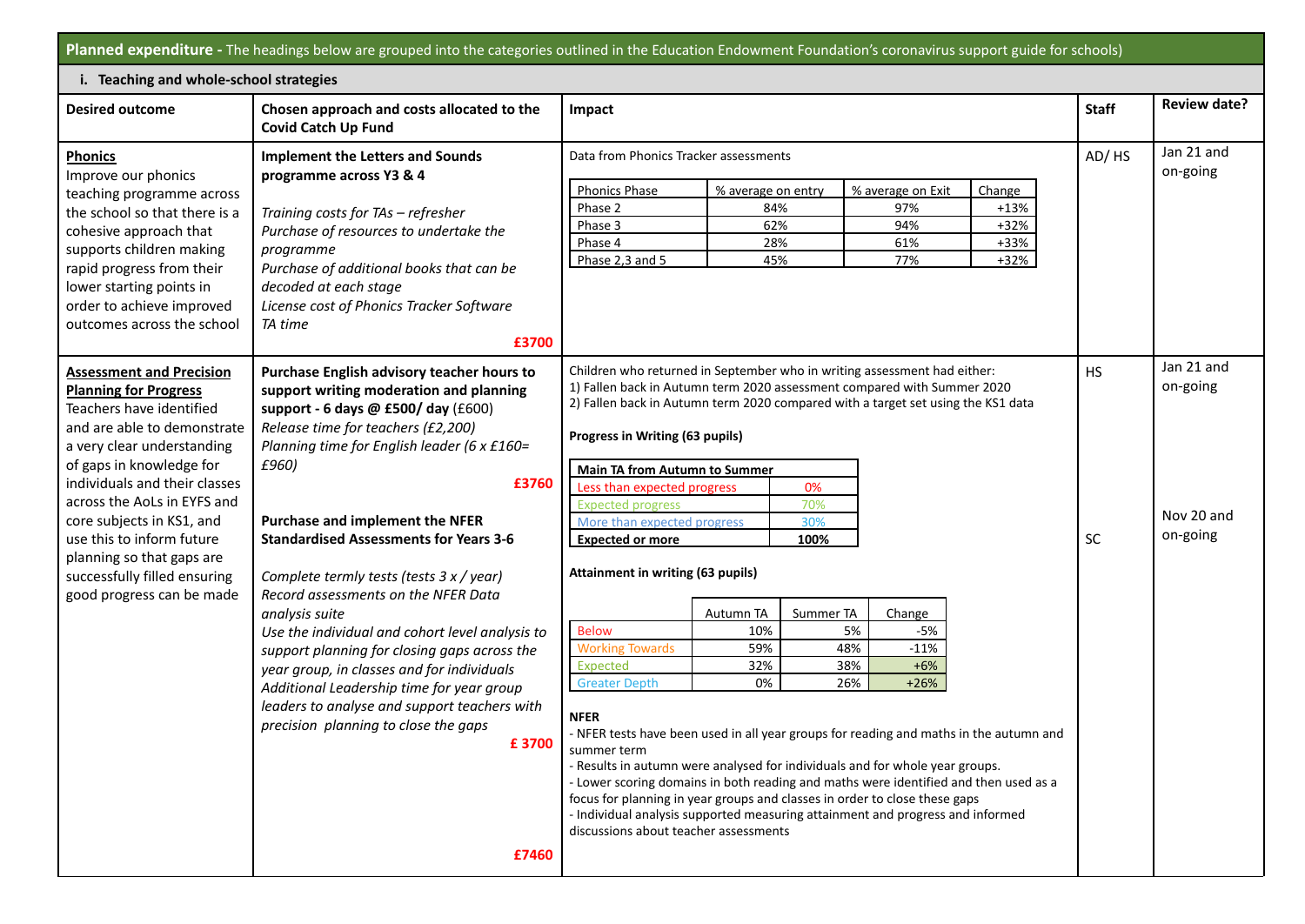|                                                                                                                            | Planned expenditure - The headings below are grouped into the categories outlined in the Education Endowment Foundation's coronavirus support guide for schools)                                                  |                                                                                                                                                                                                                                                                                                                                                                                                                                                                                                       |                                         |           |                                                |                                    |           |                        |
|----------------------------------------------------------------------------------------------------------------------------|-------------------------------------------------------------------------------------------------------------------------------------------------------------------------------------------------------------------|-------------------------------------------------------------------------------------------------------------------------------------------------------------------------------------------------------------------------------------------------------------------------------------------------------------------------------------------------------------------------------------------------------------------------------------------------------------------------------------------------------|-----------------------------------------|-----------|------------------------------------------------|------------------------------------|-----------|------------------------|
| i. Teaching and whole-school strategies                                                                                    |                                                                                                                                                                                                                   |                                                                                                                                                                                                                                                                                                                                                                                                                                                                                                       |                                         |           |                                                |                                    |           |                        |
| <b>Desired outcome</b>                                                                                                     | Chosen approach and costs allocated to the<br><b>Covid Catch Up Fund</b>                                                                                                                                          | Impact                                                                                                                                                                                                                                                                                                                                                                                                                                                                                                |                                         |           |                                                |                                    |           |                        |
| <b>Phonics</b><br>Improve our phonics                                                                                      | <b>Implement the Letters and Sounds</b><br>programme across Y3 & 4                                                                                                                                                | Data from Phonics Tracker assessments                                                                                                                                                                                                                                                                                                                                                                                                                                                                 |                                         |           |                                                |                                    | AD/HS     | Jan 21 and<br>on-going |
| teaching programme across<br>the school so that there is a<br>cohesive approach that<br>supports children making           | Training costs for TAs - refresher<br>Purchase of resources to undertake the<br>programme                                                                                                                         | <b>Phonics Phase</b><br>Phase 2<br>Phase 3<br>Phase 4                                                                                                                                                                                                                                                                                                                                                                                                                                                 | % average on entry<br>84%<br>62%<br>28% |           | % average on Exit<br>97%<br>94%<br>61%         | Change<br>$+13%$<br>$+32%$<br>+33% |           |                        |
| rapid progress from their<br>lower starting points in<br>order to achieve improved<br>outcomes across the school           | Purchase of additional books that can be<br>decoded at each stage<br>License cost of Phonics Tracker Software<br>TA time<br>£3700                                                                                 | Phase 2,3 and 5                                                                                                                                                                                                                                                                                                                                                                                                                                                                                       | 45%                                     |           | 77%                                            | $+32%$                             |           |                        |
| <b>Assessment and Precision</b><br><b>Planning for Progress</b><br>Teachers have identified<br>and are able to demonstrate | Purchase English advisory teacher hours to<br>support writing moderation and planning<br>support - 6 days @ £500/ day (£600)<br>Release time for teachers (£2,200)<br>Planning time for English leader (6 x £160= | Children who returned in September who in writing assessment had either:<br>1) Fallen back in Autumn term 2020 assessment compared with Summer 2020<br>2) Fallen back in Autumn term 2020 compared with a target set using the KS1 data<br>Progress in Writing (63 pupils)                                                                                                                                                                                                                            |                                         |           |                                                |                                    | <b>HS</b> | Jan 21 and<br>on-going |
| a very clear understanding<br>of gaps in knowledge for<br>individuals and their classes<br>across the AoLs in EYFS and     | £960)<br>£3760<br>Purchase and implement the NFER<br><b>Standardised Assessments for Years 3-6</b>                                                                                                                | <b>Main TA from Autumn to Summer</b><br>Less than expected progress<br><b>Expected progress</b>                                                                                                                                                                                                                                                                                                                                                                                                       |                                         | 0%<br>70% |                                                |                                    |           | Nov 20 and             |
| core subjects in KS1, and<br>use this to inform future<br>planning so that gaps are                                        |                                                                                                                                                                                                                   | More than expected progress<br>30%<br><b>Expected or more</b><br>100%<br>Attainment in writing (63 pupils)                                                                                                                                                                                                                                                                                                                                                                                            |                                         |           |                                                |                                    | SC        | on-going               |
| successfully filled ensuring<br>good progress can be made                                                                  | Complete termly tests (tests 3 x / year)<br>Record assessments on the NFER Data                                                                                                                                   |                                                                                                                                                                                                                                                                                                                                                                                                                                                                                                       |                                         |           |                                                |                                    |           |                        |
|                                                                                                                            | analysis suite<br>Use the individual and cohort level analysis to                                                                                                                                                 | <b>Below</b>                                                                                                                                                                                                                                                                                                                                                                                                                                                                                          | Autumn TA<br>10%                        | Summer TA | Change<br>$-5%$<br>5%                          |                                    |           |                        |
|                                                                                                                            | support planning for closing gaps across the<br>year group, in classes and for individuals<br>Additional Leadership time for year group                                                                           | <b>Working Towards</b><br>Expected<br><b>Greater Depth</b>                                                                                                                                                                                                                                                                                                                                                                                                                                            | 59%<br>32%<br>0%                        |           | 48%<br>$-11%$<br>38%<br>$+6%$<br>26%<br>$+26%$ |                                    |           |                        |
|                                                                                                                            | leaders to analyse and support teachers with<br>precision planning to close the gaps<br>£3700                                                                                                                     | <b>NFER</b><br>- NFER tests have been used in all year groups for reading and maths in the autumn and<br>summer term<br>- Results in autumn were analysed for individuals and for whole year groups.<br>- Lower scoring domains in both reading and maths were identified and then used as a<br>focus for planning in year groups and classes in order to close these gaps<br>- Individual analysis supported measuring attainment and progress and informed<br>discussions about teacher assessments |                                         |           |                                                |                                    |           |                        |
|                                                                                                                            | £7460                                                                                                                                                                                                             |                                                                                                                                                                                                                                                                                                                                                                                                                                                                                                       |                                         |           |                                                |                                    |           |                        |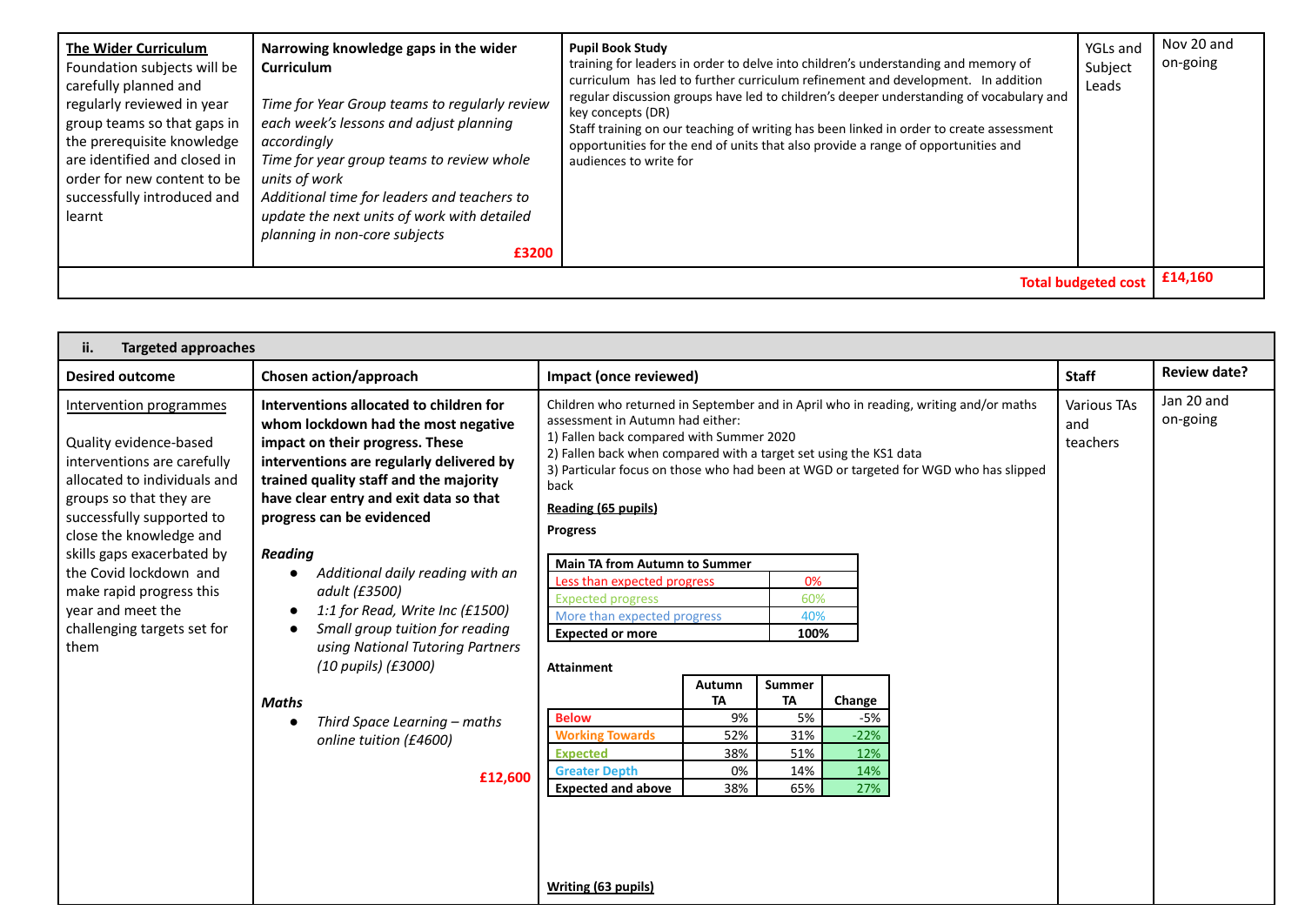| The Wider Curriculum<br>Foundation subjects will be<br>carefully planned and<br>regularly reviewed in year<br>group teams so that gaps in<br>the prerequisite knowledge<br>are identified and closed in<br>order for new content to be<br>successfully introduced and<br>learnt | Narrowing knowledge gaps in the wider<br>Curriculum<br>Time for Year Group teams to regularly review<br>each week's lessons and adjust planning<br>accordingly<br>Time for year group teams to review whole<br>units of work<br>Additional time for leaders and teachers to<br>update the next units of work with detailed<br>planning in non-core subjects<br>£3200 | <b>Pupil Book Study</b><br>training for leaders in order to delve into children's understanding and memory of<br>curriculum has led to further curriculum refinement and development. In addition<br>regular discussion groups have led to children's deeper understanding of vocabulary and<br>key concepts (DR)<br>Staff training on our teaching of writing has been linked in order to create assessment<br>opportunities for the end of units that also provide a range of opportunities and<br>audiences to write for | YGLs and<br>Subject<br>Leads | Nov 20 and<br>on-going |  |  |
|---------------------------------------------------------------------------------------------------------------------------------------------------------------------------------------------------------------------------------------------------------------------------------|----------------------------------------------------------------------------------------------------------------------------------------------------------------------------------------------------------------------------------------------------------------------------------------------------------------------------------------------------------------------|-----------------------------------------------------------------------------------------------------------------------------------------------------------------------------------------------------------------------------------------------------------------------------------------------------------------------------------------------------------------------------------------------------------------------------------------------------------------------------------------------------------------------------|------------------------------|------------------------|--|--|
| £14,160<br><b>Total budgeted cost</b>                                                                                                                                                                                                                                           |                                                                                                                                                                                                                                                                                                                                                                      |                                                                                                                                                                                                                                                                                                                                                                                                                                                                                                                             |                              |                        |  |  |

| <b>Targeted approaches</b><br>ii.                                                                                                                                                                                                                                                                                                                   |                                                                                                                                                                                                                                                                                                                                                                                                                                                                                                                                                                                                   |                                                                                                                |                                               |                                                |                                              |                                |                        |                     |
|-----------------------------------------------------------------------------------------------------------------------------------------------------------------------------------------------------------------------------------------------------------------------------------------------------------------------------------------------------|---------------------------------------------------------------------------------------------------------------------------------------------------------------------------------------------------------------------------------------------------------------------------------------------------------------------------------------------------------------------------------------------------------------------------------------------------------------------------------------------------------------------------------------------------------------------------------------------------|----------------------------------------------------------------------------------------------------------------|-----------------------------------------------|------------------------------------------------|----------------------------------------------|--------------------------------|------------------------|---------------------|
| <b>Desired outcome</b>                                                                                                                                                                                                                                                                                                                              | Chosen action/approach                                                                                                                                                                                                                                                                                                                                                                                                                                                                                                                                                                            | Impact (once reviewed)                                                                                         |                                               |                                                |                                              |                                | <b>Staff</b>           | <b>Review date?</b> |
| Intervention programmes<br>Quality evidence-based<br>interventions are carefully<br>allocated to individuals and<br>groups so that they are<br>successfully supported to<br>close the knowledge and<br>skills gaps exacerbated by<br>the Covid lockdown and<br>make rapid progress this<br>year and meet the<br>challenging targets set for<br>them | Children who returned in September and in April who in reading, writing and/or maths<br>assessment in Autumn had either:<br>1) Fallen back compared with Summer 2020<br>2) Fallen back when compared with a target set using the KS1 data<br>3) Particular focus on those who had been at WGD or targeted for WGD who has slipped<br>back<br>Reading (65 pupils)<br><b>Progress</b><br><b>Main TA from Autumn to Summer</b><br>0%<br>Less than expected progress<br>60%<br><b>Expected progress</b><br>More than expected progress<br>40%<br><b>Expected or more</b><br>100%<br><b>Attainment</b> |                                                                                                                |                                               |                                                |                                              | Various TAs<br>and<br>teachers | Jan 20 and<br>on-going |                     |
|                                                                                                                                                                                                                                                                                                                                                     | Maths<br>Third Space Learning – maths<br>$\bullet$<br>online tuition (£4600)<br>£12,600                                                                                                                                                                                                                                                                                                                                                                                                                                                                                                           | <b>Below</b><br><b>Working Towards</b><br><b>Expected</b><br><b>Greater Depth</b><br><b>Expected and above</b> | Autumn<br>TA<br>9%<br>52%<br>38%<br>0%<br>38% | Summer<br>TA<br>5%<br>31%<br>51%<br>14%<br>65% | Change<br>-5%<br>$-22%$<br>12%<br>14%<br>27% |                                |                        |                     |
|                                                                                                                                                                                                                                                                                                                                                     |                                                                                                                                                                                                                                                                                                                                                                                                                                                                                                                                                                                                   | Writing (63 pupils)                                                                                            |                                               |                                                |                                              |                                |                        |                     |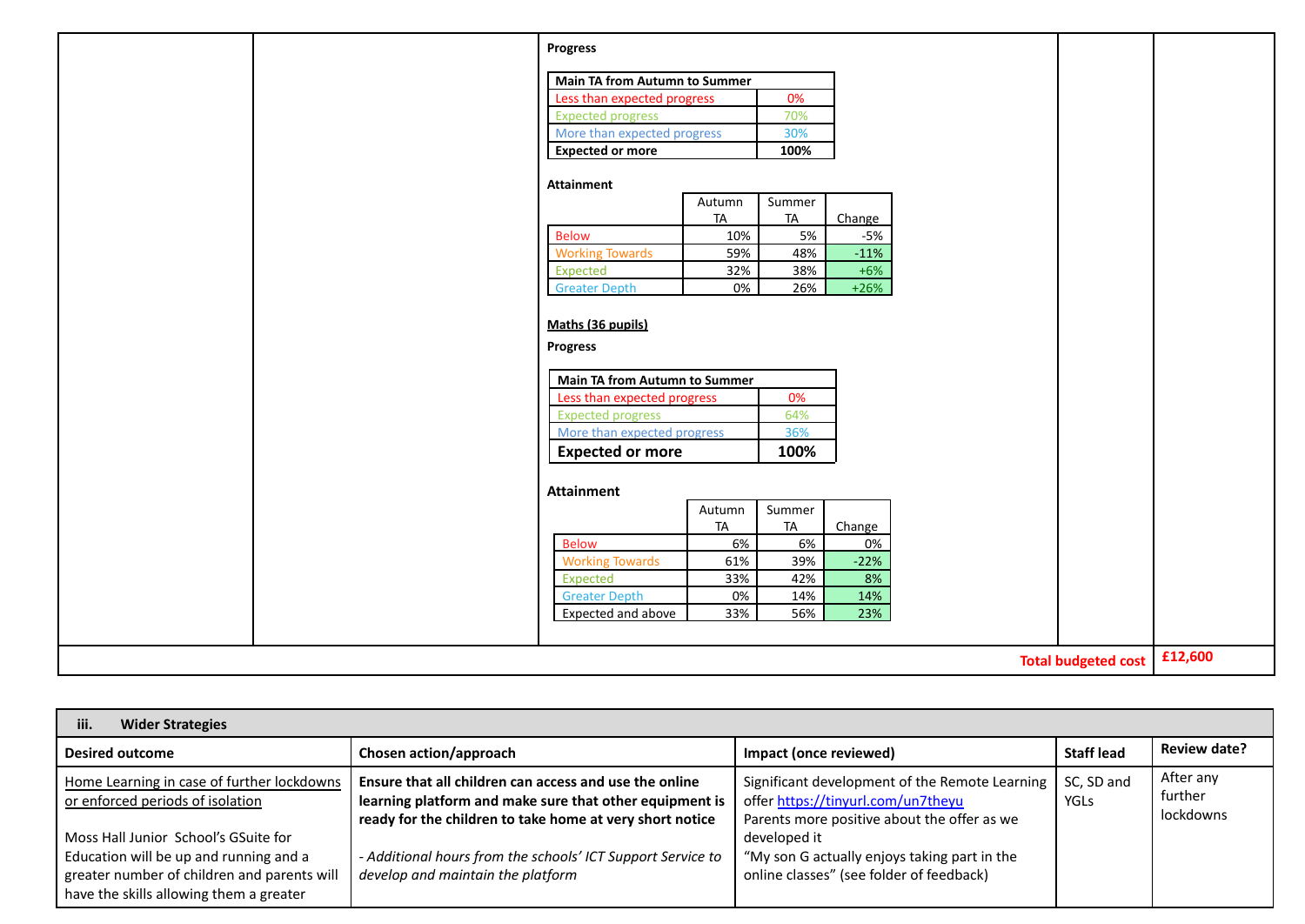|  | Progress                             |           |           |        |                            |         |
|--|--------------------------------------|-----------|-----------|--------|----------------------------|---------|
|  |                                      |           |           |        |                            |         |
|  | <b>Main TA from Autumn to Summer</b> |           |           |        |                            |         |
|  | Less than expected progress          |           | 0%        |        |                            |         |
|  | <b>Expected progress</b>             |           | 70%       |        |                            |         |
|  | More than expected progress          |           | 30%       |        |                            |         |
|  | <b>Expected or more</b>              |           | 100%      |        |                            |         |
|  | Attainment                           |           |           |        |                            |         |
|  |                                      | Autumn    | Summer    |        |                            |         |
|  |                                      | <b>TA</b> | <b>TA</b> | Change |                            |         |
|  | <b>Below</b>                         | 10%       | 5%        | $-5%$  |                            |         |
|  | <b>Working Towards</b>               | 59%       | 48%       | $-11%$ |                            |         |
|  | Expected                             | 32%       | 38%       | $+6%$  |                            |         |
|  | <b>Greater Depth</b>                 | 0%        | 26%       | $+26%$ |                            |         |
|  |                                      |           |           |        |                            |         |
|  | Maths (36 pupils)                    |           |           |        |                            |         |
|  | <b>Progress</b>                      |           |           |        |                            |         |
|  |                                      |           |           |        |                            |         |
|  | Main TA from Autumn to Summer        |           |           |        |                            |         |
|  | Less than expected progress          |           | 0%        |        |                            |         |
|  | <b>Expected progress</b>             |           | 64%       |        |                            |         |
|  | More than expected progress          |           | 36%       |        |                            |         |
|  | <b>Expected or more</b>              |           | 100%      |        |                            |         |
|  |                                      |           |           |        |                            |         |
|  | <b>Attainment</b>                    |           |           |        |                            |         |
|  |                                      | Autumn    | Summer    |        |                            |         |
|  |                                      | <b>TA</b> | <b>TA</b> | Change |                            |         |
|  | <b>Below</b>                         | 6%        | 6%        | 0%     |                            |         |
|  | <b>Working Towards</b>               | 61%       | 39%       | $-22%$ |                            |         |
|  | Expected                             | 33%       | 42%       | 8%     |                            |         |
|  | <b>Greater Depth</b>                 | 0%        | 14%       | 14%    |                            |         |
|  | Expected and above                   | 33%       | 56%       | 23%    |                            |         |
|  |                                      |           |           |        |                            |         |
|  |                                      |           |           |        | <b>Total budgeted cost</b> | £12,600 |

| <b>Wider Strategies</b><br>iii.                                                                                                                                          |                                                                                                                                                                               |                                                                                                                                     |                           |                                   |
|--------------------------------------------------------------------------------------------------------------------------------------------------------------------------|-------------------------------------------------------------------------------------------------------------------------------------------------------------------------------|-------------------------------------------------------------------------------------------------------------------------------------|---------------------------|-----------------------------------|
| <b>Desired outcome</b>                                                                                                                                                   | Chosen action/approach                                                                                                                                                        | Impact (once reviewed)                                                                                                              | <b>Staff lead</b>         | <b>Review date?</b>               |
| Home Learning in case of further lockdowns<br>or enforced periods of isolation                                                                                           | Ensure that all children can access and use the online<br>learning platform and make sure that other equipment is<br>ready for the children to take home at very short notice | Significant development of the Remote Learning<br>offer https://tinyurl.com/un7theyu<br>Parents more positive about the offer as we | SC, SD and<br><b>YGLS</b> | After any<br>further<br>lockdowns |
| Moss Hall Junior School's GSuite for<br>Education will be up and running and a<br>greater number of children and parents will<br>have the skills allowing them a greater | - Additional hours from the schools' ICT Support Service to<br>develop and maintain the platform                                                                              | developed it<br>"My son G actually enjoys taking part in the<br>online classes" (see folder of feedback)                            |                           |                                   |